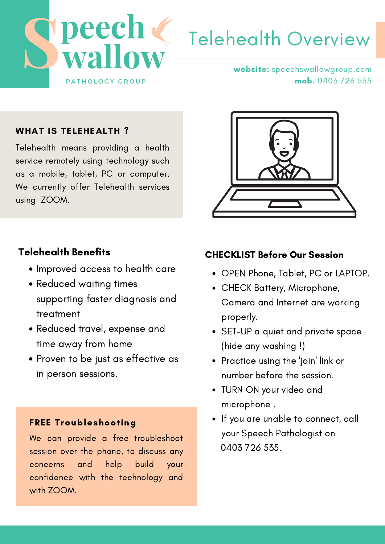

# Telehealth Overview

website: speechswallowgroup.com mob. 0403 726 535

#### WHAT IS TELEHEALTH?

Telehealth means providing a health service remotely using technology such as a mobile, tablet, PC or computer. We currently offer Telehealth services using ZOOM.

#### Telehealth Benefits

- Improved access to health care
- Reduced waiting times supporting faster diagnosis and treatment
- Reduced travel, expense and time away from home
- $\sim$ Proven to be just as effective as in person sessions.

#### FREE Troubleshooting

We can provide a free troubleshoot session over the phone, to discuss any concerns and help build your confidence with the technology and with ZOOM.



#### CHECKLIST Before Our Session

- OPEN Phone, Tablet, PC or LAPTOP.
- CHECK Battery, Microphone, Camera and Internet are working properly.
- SET-UP a quiet and private space (hide any washing !)
- Practice using the 'join' link or number before the session.
- TURN ON your video and microphone .
- If you are unable to connect, call your Speech Pathologist on 0403 726 535.